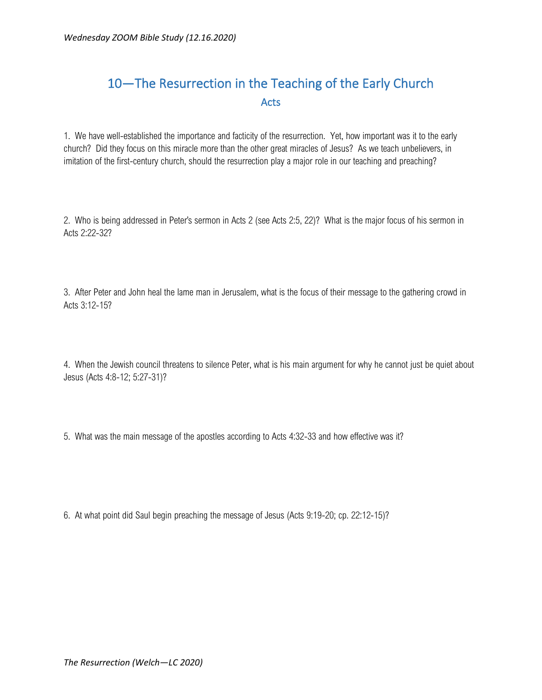## 10—The Resurrection in the Teaching of the Early Church Acts

1. We have well-established the importance and facticity of the resurrection. Yet, how important was it to the early church? Did they focus on this miracle more than the other great miracles of Jesus? As we teach unbelievers, in imitation of the first-century church, should the resurrection play a major role in our teaching and preaching?

2. Who is being addressed in Peter's sermon in Acts 2 (see Acts 2:5, 22)? What is the major focus of his sermon in Acts 2:22-32?

3. After Peter and John heal the lame man in Jerusalem, what is the focus of their message to the gathering crowd in Acts 3:12-15?

4. When the Jewish council threatens to silence Peter, what is his main argument for why he cannot just be quiet about Jesus (Acts 4:8-12; 5:27-31)?

5. What was the main message of the apostles according to Acts 4:32-33 and how effective was it?

6. At what point did Saul begin preaching the message of Jesus (Acts 9:19-20; cp. 22:12-15)?